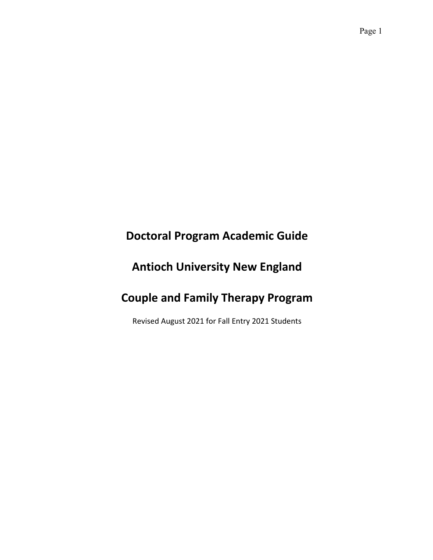# **Doctoral Program Academic Guide**

# **Antioch University New England**

# **Couple and Family Therapy Program**

Revised August 2021 for Fall Entry 2021 Students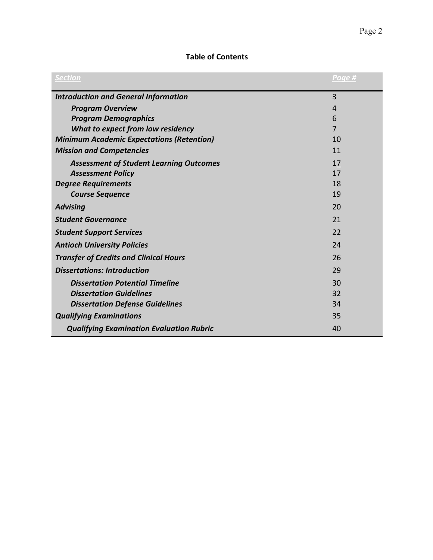## **Table of Contents**

| <b>Section</b>                                   | Page #         |
|--------------------------------------------------|----------------|
| <b>Introduction and General Information</b>      | 3              |
| <b>Program Overview</b>                          | 4              |
| <b>Program Demographics</b>                      | 6              |
| What to expect from low residency                | $\overline{7}$ |
| <b>Minimum Academic Expectations (Retention)</b> | 10             |
| <b>Mission and Competencies</b>                  | 11             |
| <b>Assessment of Student Learning Outcomes</b>   | 17             |
| <b>Assessment Policy</b>                         | 17             |
| <b>Degree Requirements</b>                       | 18             |
| <b>Course Sequence</b>                           | 19             |
| <b>Advising</b>                                  | 20             |
| <b>Student Governance</b>                        | 21             |
| <b>Student Support Services</b>                  | 22             |
| <b>Antioch University Policies</b>               | 24             |
| <b>Transfer of Credits and Clinical Hours</b>    | 26             |
| <b>Dissertations: Introduction</b>               | 29             |
| <b>Dissertation Potential Timeline</b>           | 30             |
| <b>Dissertation Guidelines</b>                   | 32             |
| <b>Dissertation Defense Guidelines</b>           | 34             |
| <b>Qualifying Examinations</b>                   | 35             |
| <b>Qualifying Examination Evaluation Rubric</b>  | 40             |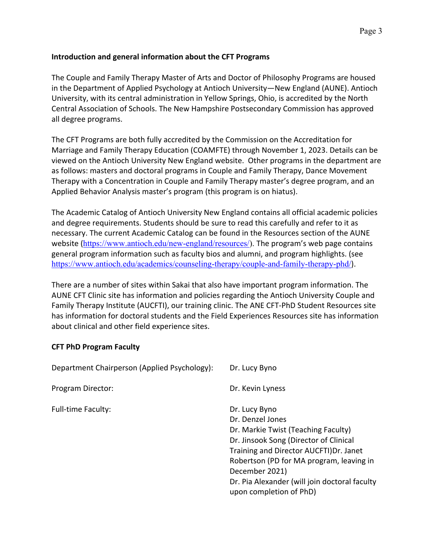## **Introduction and general information about the CFT Programs**

The Couple and Family Therapy Master of Arts and Doctor of Philosophy Programs are housed in the Department of Applied Psychology at Antioch University—New England (AUNE). Antioch University, with its central administration in Yellow Springs, Ohio, is accredited by the North Central Association of Schools. The New Hampshire Postsecondary Commission has approved all degree programs.

The CFT Programs are both fully accredited by the Commission on the Accreditation for Marriage and Family Therapy Education (COAMFTE) through November 1, 2023. Details can be viewed on the Antioch University New England website. Other programs in the department are as follows: masters and doctoral programs in Couple and Family Therapy, Dance Movement Therapy with a Concentration in Couple and Family Therapy master's degree program, and an Applied Behavior Analysis master's program (this program is on hiatus).

The Academic Catalog of Antioch University New England contains all official academic policies and degree requirements. Students should be sure to read this carefully and refer to it as necessary. The current Academic Catalog can be found in the Resources section of the AUNE website (https://www.antioch.edu/new-england/resources/). The program's web page contains general program information such as faculty bios and alumni, and program highlights. (see https://www.antioch.edu/academics/counseling-therapy/couple-and-family-therapy-phd/).

There are a number of sites within Sakai that also have important program information. The AUNE CFT Clinic site has information and policies regarding the Antioch University Couple and Family Therapy Institute (AUCFTI), our training clinic. The ANE CFT-PhD Student Resources site has information for doctoral students and the Field Experiences Resources site has information about clinical and other field experience sites.

#### **CFT PhD Program Faculty**

| Department Chairperson (Applied Psychology): | Dr. Lucy Byno                                 |
|----------------------------------------------|-----------------------------------------------|
| Program Director:                            | Dr. Kevin Lyness                              |
| <b>Full-time Faculty:</b>                    | Dr. Lucy Byno                                 |
|                                              | Dr. Denzel Jones                              |
|                                              | Dr. Markie Twist (Teaching Faculty)           |
|                                              | Dr. Jinsook Song (Director of Clinical        |
|                                              | Training and Director AUCFTI) Dr. Janet       |
|                                              | Robertson (PD for MA program, leaving in      |
|                                              | December 2021)                                |
|                                              | Dr. Pia Alexander (will join doctoral faculty |
|                                              | upon completion of PhD)                       |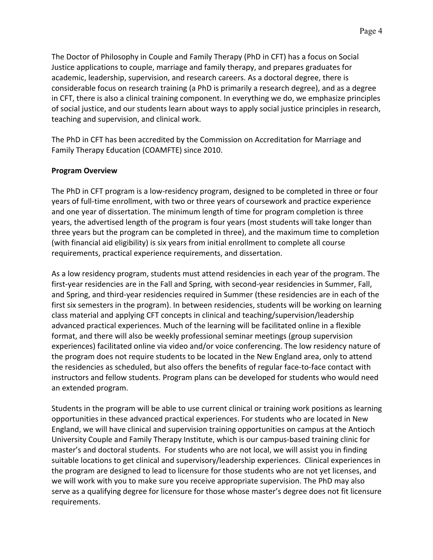The Doctor of Philosophy in Couple and Family Therapy (PhD in CFT) has a focus on Social Justice applications to couple, marriage and family therapy, and prepares graduates for academic, leadership, supervision, and research careers. As a doctoral degree, there is considerable focus on research training (a PhD is primarily a research degree), and as a degree in CFT, there is also a clinical training component. In everything we do, we emphasize principles of social justice, and our students learn about ways to apply social justice principles in research, teaching and supervision, and clinical work.

The PhD in CFT has been accredited by the Commission on Accreditation for Marriage and Family Therapy Education (COAMFTE) since 2010.

## **Program Overview**

The PhD in CFT program is a low-residency program, designed to be completed in three or four years of full-time enrollment, with two or three years of coursework and practice experience and one year of dissertation. The minimum length of time for program completion is three years, the advertised length of the program is four years (most students will take longer than three years but the program can be completed in three), and the maximum time to completion (with financial aid eligibility) is six years from initial enrollment to complete all course requirements, practical experience requirements, and dissertation.

As a low residency program, students must attend residencies in each year of the program. The first-year residencies are in the Fall and Spring, with second-year residencies in Summer, Fall, and Spring, and third-year residencies required in Summer (these residencies are in each of the first six semesters in the program). In between residencies, students will be working on learning class material and applying CFT concepts in clinical and teaching/supervision/leadership advanced practical experiences. Much of the learning will be facilitated online in a flexible format, and there will also be weekly professional seminar meetings (group supervision experiences) facilitated online via video and/or voice conferencing. The low residency nature of the program does not require students to be located in the New England area, only to attend the residencies as scheduled, but also offers the benefits of regular face-to-face contact with instructors and fellow students. Program plans can be developed for students who would need an extended program.

Students in the program will be able to use current clinical or training work positions as learning opportunities in these advanced practical experiences. For students who are located in New England, we will have clinical and supervision training opportunities on campus at the Antioch University Couple and Family Therapy Institute, which is our campus-based training clinic for master's and doctoral students. For students who are not local, we will assist you in finding suitable locations to get clinical and supervisory/leadership experiences. Clinical experiences in the program are designed to lead to licensure for those students who are not yet licenses, and we will work with you to make sure you receive appropriate supervision. The PhD may also serve as a qualifying degree for licensure for those whose master's degree does not fit licensure requirements.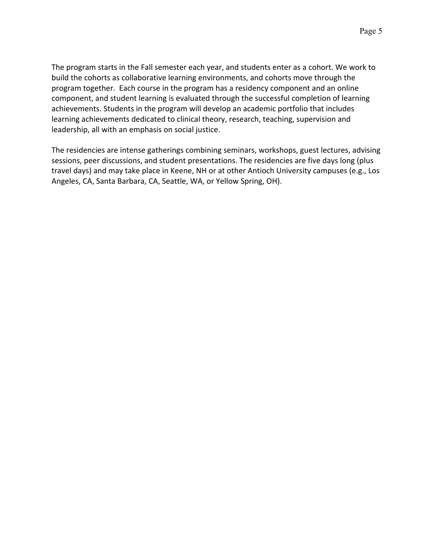The program starts in the Fall semester each year, and students enter as a cohort. We work to build the cohorts as collaborative learning environments, and cohorts move through the program together. Each course in the program has a residency component and an online component, and student learning is evaluated through the successful completion of learning achievements. Students in the program will develop an academic portfolio that includes learning achievements dedicated to clinical theory, research, teaching, supervision and leadership, all with an emphasis on social justice.

The residencies are intense gatherings combining seminars, workshops, guest lectures, advising sessions, peer discussions, and student presentations. The residencies are five days long (plus travel days) and may take place in Keene, NH or at other Antioch University campuses (e.g., Los Angeles, CA, Santa Barbara, CA, Seattle, WA, or Yellow Spring, OH).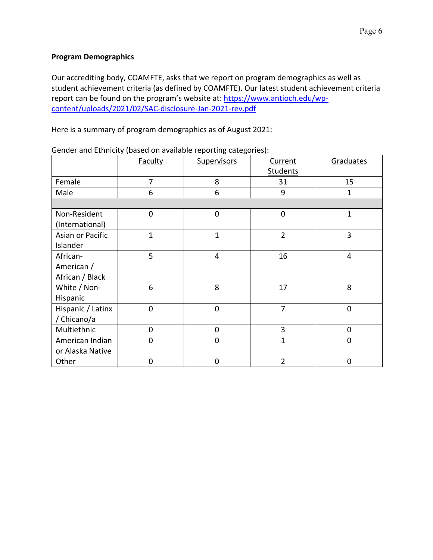## **Program Demographics**

Our accrediting body, COAMFTE, asks that we report on program demographics as well as student achievement criteria (as defined by COAMFTE). Our latest student achievement criteria report can be found on the program's website at: https://www.antioch.edu/wpcontent/uploads/2021/02/SAC-disclosure-Jan-2021-rev.pdf

Here is a summary of program demographics as of August 2021:

|                   | <b>Faculty</b> | <b>Supervisors</b> | Current<br>Students | Graduates   |
|-------------------|----------------|--------------------|---------------------|-------------|
| Female            | $\overline{7}$ | 8                  | 31                  | 15          |
|                   |                |                    |                     |             |
| Male              | 6              | 6                  | 9                   | 1           |
|                   |                |                    |                     |             |
| Non-Resident      | $\mathbf 0$    | $\mathbf 0$        | $\mathbf 0$         | $\mathbf 1$ |
| (International)   |                |                    |                     |             |
| Asian or Pacific  | $\overline{1}$ | $\overline{1}$     | $\overline{2}$      | 3           |
| Islander          |                |                    |                     |             |
| African-          | 5              | 4                  | 16                  | 4           |
| American /        |                |                    |                     |             |
| African / Black   |                |                    |                     |             |
| White / Non-      | 6              | 8                  | 17                  | 8           |
| Hispanic          |                |                    |                     |             |
| Hispanic / Latinx | $\mathbf 0$    | $\mathbf 0$        | $\overline{7}$      | 0           |
| / Chicano/a       |                |                    |                     |             |
| Multiethnic       | 0              | 0                  | 3                   | 0           |
| American Indian   | $\mathbf 0$    | $\mathbf 0$        | $\overline{1}$      | 0           |
| or Alaska Native  |                |                    |                     |             |
| Other             | 0              | 0                  | $\overline{2}$      | 0           |

Gender and Ethnicity (based on available reporting categories):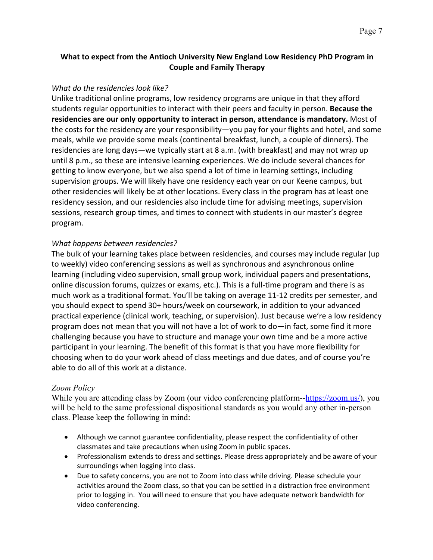## **What to expect from the Antioch University New England Low Residency PhD Program in Couple and Family Therapy**

#### *What do the residencies look like?*

Unlike traditional online programs, low residency programs are unique in that they afford students regular opportunities to interact with their peers and faculty in person. **Because the residencies are our only opportunity to interact in person, attendance is mandatory.** Most of the costs for the residency are your responsibility—you pay for your flights and hotel, and some meals, while we provide some meals (continental breakfast, lunch, a couple of dinners). The residencies are long days—we typically start at 8 a.m. (with breakfast) and may not wrap up until 8 p.m., so these are intensive learning experiences. We do include several chances for getting to know everyone, but we also spend a lot of time in learning settings, including supervision groups. We will likely have one residency each year on our Keene campus, but other residencies will likely be at other locations. Every class in the program has at least one residency session, and our residencies also include time for advising meetings, supervision sessions, research group times, and times to connect with students in our master's degree program.

#### *What happens between residencies?*

The bulk of your learning takes place between residencies, and courses may include regular (up to weekly) video conferencing sessions as well as synchronous and asynchronous online learning (including video supervision, small group work, individual papers and presentations, online discussion forums, quizzes or exams, etc.). This is a full-time program and there is as much work as a traditional format. You'll be taking on average 11-12 credits per semester, and you should expect to spend 30+ hours/week on coursework, in addition to your advanced practical experience (clinical work, teaching, or supervision). Just because we're a low residency program does not mean that you will not have a lot of work to do—in fact, some find it more challenging because you have to structure and manage your own time and be a more active participant in your learning. The benefit of this format is that you have more flexibility for choosing when to do your work ahead of class meetings and due dates, and of course you're able to do all of this work at a distance.

#### *Zoom Policy*

While you are attending class by Zoom (our video conferencing platform--https://zoom.us/), you will be held to the same professional dispositional standards as you would any other in-person class. Please keep the following in mind:

- Although we cannot guarantee confidentiality, please respect the confidentiality of other classmates and take precautions when using Zoom in public spaces.
- Professionalism extends to dress and settings. Please dress appropriately and be aware of your surroundings when logging into class.
- Due to safety concerns, you are not to Zoom into class while driving. Please schedule your activities around the Zoom class, so that you can be settled in a distraction free environment prior to logging in. You will need to ensure that you have adequate network bandwidth for video conferencing.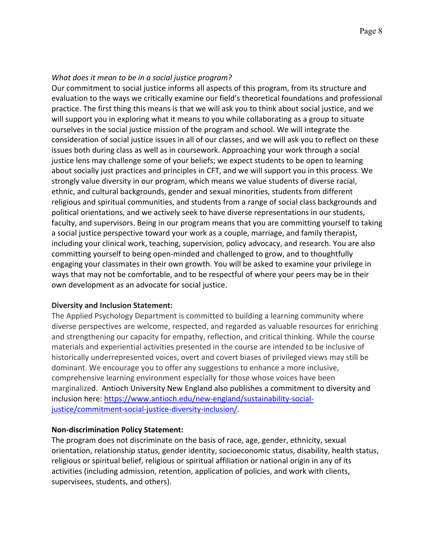## *What does it mean to be in a social justice program?*

Our commitment to social justice informs all aspects of this program, from its structure and evaluation to the ways we critically examine our field's theoretical foundations and professional practice. The first thing this means is that we will ask you to think about social justice, and we will support you in exploring what it means to you while collaborating as a group to situate ourselves in the social justice mission of the program and school. We will integrate the consideration of social justice issues in all of our classes, and we will ask you to reflect on these issues both during class as well as in coursework. Approaching your work through a social justice lens may challenge some of your beliefs; we expect students to be open to learning about socially just practices and principles in CFT, and we will support you in this process. We strongly value diversity in our program, which means we value students of diverse racial, ethnic, and cultural backgrounds, gender and sexual minorities, students from different religious and spiritual communities, and students from a range of social class backgrounds and political orientations, and we actively seek to have diverse representations in our students, faculty, and supervisors. Being in our program means that you are committing yourself to taking a social justice perspective toward your work as a couple, marriage, and family therapist, including your clinical work, teaching, supervision, policy advocacy, and research. You are also committing yourself to being open-minded and challenged to grow, and to thoughtfully engaging your classmates in their own growth. You will be asked to examine your privilege in ways that may not be comfortable, and to be respectful of where your peers may be in their own development as an advocate for social justice.

## **Diversity and Inclusion Statement:**

The Applied Psychology Department is committed to building a learning community where diverse perspectives are welcome, respected, and regarded as valuable resources for enriching and strengthening our capacity for empathy, reflection, and critical thinking. While the course materials and experiential activities presented in the course are intended to be inclusive of historically underrepresented voices, overt and covert biases of privileged views may still be dominant. We encourage you to offer any suggestions to enhance a more inclusive, comprehensive learning environment especially for those whose voices have been marginalized. Antioch University New England also publishes a commitment to diversity and inclusion here: https://www.antioch.edu/new-england/sustainability-socialjustice/commitment-social-justice-diversity-inclusion/.

## **Non-discrimination Policy Statement:**

The program does not discriminate on the basis of race, age, gender, ethnicity, sexual orientation, relationship status, gender identity, socioeconomic status, disability, health status, religious or spiritual belief, religious or spiritual affiliation or national origin in any of its activities (including admission, retention, application of policies, and work with clients, supervisees, students, and others).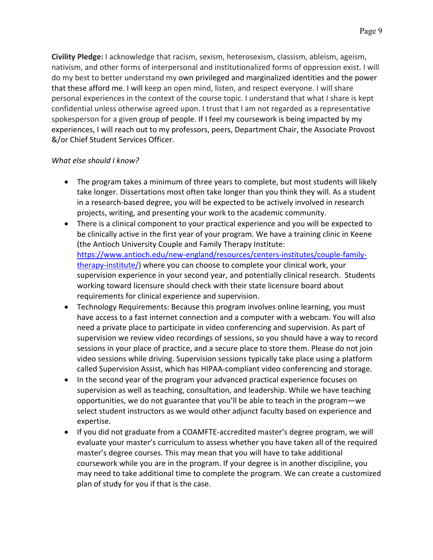**Civility Pledge:** I acknowledge that racism, sexism, heterosexism, classism, ableism, ageism, nativism, and other forms of interpersonal and institutionalized forms of oppression exist. I will do my best to better understand my own privileged and marginalized identities and the power that these afford me. I will keep an open mind, listen, and respect everyone. I will share personal experiences in the context of the course topic. I understand that what I share is kept confidential unless otherwise agreed upon. I trust that I am not regarded as a representative spokesperson for a given group of people. If I feel my coursework is being impacted by my experiences, I will reach out to my professors, peers, Department Chair, the Associate Provost &/or Chief Student Services Officer.

## *What else should I know?*

- The program takes a minimum of three years to complete, but most students will likely take longer. Dissertations most often take longer than you think they will. As a student in a research-based degree, you will be expected to be actively involved in research projects, writing, and presenting your work to the academic community.
- There is a clinical component to your practical experience and you will be expected to be clinically active in the first year of your program. We have a training clinic in Keene (the Antioch University Couple and Family Therapy Institute: https://www.antioch.edu/new-england/resources/centers-institutes/couple-familytherapy-institute/) where you can choose to complete your clinical work, your supervision experience in your second year, and potentially clinical research. Students working toward licensure should check with their state licensure board about requirements for clinical experience and supervision.
- Technology Requirements: Because this program involves online learning, you must have access to a fast internet connection and a computer with a webcam. You will also need a private place to participate in video conferencing and supervision. As part of supervision we review video recordings of sessions, so you should have a way to record sessions in your place of practice, and a secure place to store them. Please do not join video sessions while driving. Supervision sessions typically take place using a platform called Supervision Assist, which has HIPAA-compliant video conferencing and storage.
- In the second year of the program your advanced practical experience focuses on supervision as well as teaching, consultation, and leadership. While we have teaching opportunities, we do not guarantee that you'll be able to teach in the program—we select student instructors as we would other adjunct faculty based on experience and expertise.
- If you did not graduate from a COAMFTE-accredited master's degree program, we will evaluate your master's curriculum to assess whether you have taken all of the required master's degree courses. This may mean that you will have to take additional coursework while you are in the program. If your degree is in another discipline, you may need to take additional time to complete the program. We can create a customized plan of study for you if that is the case.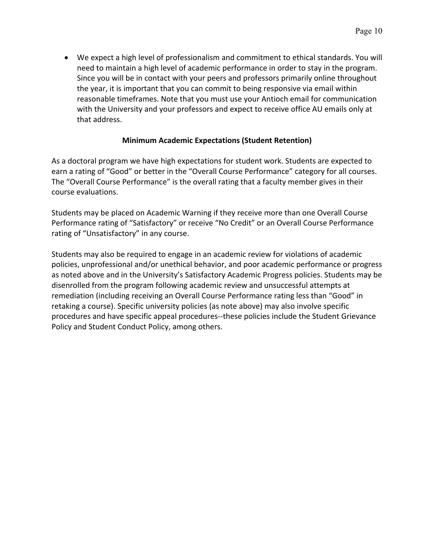• We expect a high level of professionalism and commitment to ethical standards. You will need to maintain a high level of academic performance in order to stay in the program. Since you will be in contact with your peers and professors primarily online throughout the year, it is important that you can commit to being responsive via email within reasonable timeframes. Note that you must use your Antioch email for communication with the University and your professors and expect to receive office AU emails only at that address.

#### **Minimum Academic Expectations (Student Retention)**

As a doctoral program we have high expectations for student work. Students are expected to earn a rating of "Good" or better in the "Overall Course Performance" category for all courses. The "Overall Course Performance" is the overall rating that a faculty member gives in their course evaluations.

Students may be placed on Academic Warning if they receive more than one Overall Course Performance rating of "Satisfactory" or receive "No Credit" or an Overall Course Performance rating of "Unsatisfactory" in any course.

Students may also be required to engage in an academic review for violations of academic policies, unprofessional and/or unethical behavior, and poor academic performance or progress as noted above and in the University's Satisfactory Academic Progress policies. Students may be disenrolled from the program following academic review and unsuccessful attempts at remediation (including receiving an Overall Course Performance rating less than "Good" in retaking a course). Specific university policies (as note above) may also involve specific procedures and have specific appeal procedures--these policies include the Student Grievance Policy and Student Conduct Policy, among others.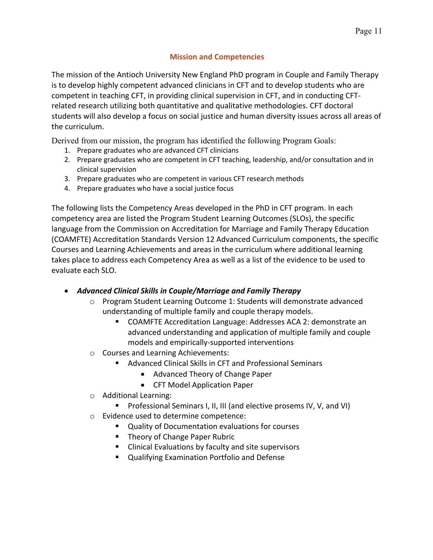## **Mission and Competencies**

The mission of the Antioch University New England PhD program in Couple and Family Therapy is to develop highly competent advanced clinicians in CFT and to develop students who are competent in teaching CFT, in providing clinical supervision in CFT, and in conducting CFTrelated research utilizing both quantitative and qualitative methodologies. CFT doctoral students will also develop a focus on social justice and human diversity issues across all areas of the curriculum.

Derived from our mission, the program has identified the following Program Goals:

- 1. Prepare graduates who are advanced CFT clinicians
- 2. Prepare graduates who are competent in CFT teaching, leadership, and/or consultation and in clinical supervision
- 3. Prepare graduates who are competent in various CFT research methods
- 4. Prepare graduates who have a social justice focus

The following lists the Competency Areas developed in the PhD in CFT program. In each competency area are listed the Program Student Learning Outcomes (SLOs), the specific language from the Commission on Accreditation for Marriage and Family Therapy Education (COAMFTE) Accreditation Standards Version 12 Advanced Curriculum components, the specific Courses and Learning Achievements and areas in the curriculum where additional learning takes place to address each Competency Area as well as a list of the evidence to be used to evaluate each SLO.

## • *Advanced Clinical Skills in Couple/Marriage and Family Therapy*

- o Program Student Learning Outcome 1: Students will demonstrate advanced understanding of multiple family and couple therapy models.
	- COAMFTE Accreditation Language: Addresses ACA 2: demonstrate an advanced understanding and application of multiple family and couple models and empirically-supported interventions
- o Courses and Learning Achievements:
	- Advanced Clinical Skills in CFT and Professional Seminars
		- Advanced Theory of Change Paper
		- CFT Model Application Paper
- o Additional Learning:
	- Professional Seminars I, II, III (and elective prosems IV, V, and VI)
- o Evidence used to determine competence:
	- Quality of Documentation evaluations for courses
	- Theory of Change Paper Rubric
	- Clinical Evaluations by faculty and site supervisors
	- Qualifying Examination Portfolio and Defense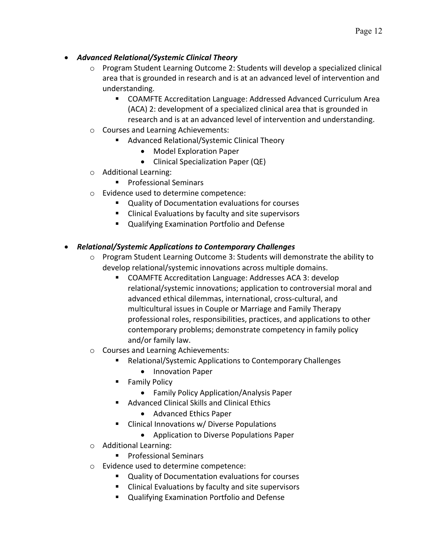- o Program Student Learning Outcome 2: Students will develop a specialized clinical area that is grounded in research and is at an advanced level of intervention and understanding.
	- COAMFTE Accreditation Language: Addressed Advanced Curriculum Area (ACA) 2: development of a specialized clinical area that is grounded in research and is at an advanced level of intervention and understanding.
- o Courses and Learning Achievements:
	- § Advanced Relational/Systemic Clinical Theory
		- Model Exploration Paper
		- Clinical Specialization Paper (QE)
- o Additional Learning:
	- Professional Seminars
- o Evidence used to determine competence:
	- Quality of Documentation evaluations for courses
	- Clinical Evaluations by faculty and site supervisors
	- Qualifying Examination Portfolio and Defense

# • *Relational/Systemic Applications to Contemporary Challenges*

- o Program Student Learning Outcome 3: Students will demonstrate the ability to develop relational/systemic innovations across multiple domains.
	- § COAMFTE Accreditation Language: Addresses ACA 3: develop relational/systemic innovations; application to controversial moral and advanced ethical dilemmas, international, cross-cultural, and multicultural issues in Couple or Marriage and Family Therapy professional roles, responsibilities, practices, and applications to other contemporary problems; demonstrate competency in family policy and/or family law.
- o Courses and Learning Achievements:
	- § Relational/Systemic Applications to Contemporary Challenges
		- Innovation Paper
	- Family Policy
		- Family Policy Application/Analysis Paper
	- Advanced Clinical Skills and Clinical Ethics
		- Advanced Ethics Paper
	- Clinical Innovations w/ Diverse Populations
		- Application to Diverse Populations Paper
- o Additional Learning:
	- Professional Seminars
- o Evidence used to determine competence:
	- Quality of Documentation evaluations for courses
	- Clinical Evaluations by faculty and site supervisors
	- Qualifying Examination Portfolio and Defense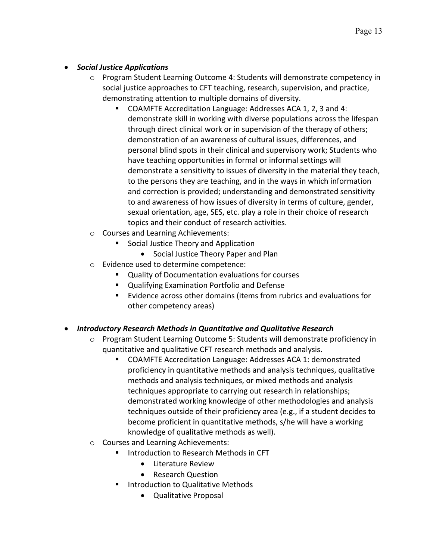## • *Social Justice Applications*

- o Program Student Learning Outcome 4: Students will demonstrate competency in social justice approaches to CFT teaching, research, supervision, and practice, demonstrating attention to multiple domains of diversity.
	- COAMFTE Accreditation Language: Addresses ACA 1, 2, 3 and 4: demonstrate skill in working with diverse populations across the lifespan through direct clinical work or in supervision of the therapy of others; demonstration of an awareness of cultural issues, differences, and personal blind spots in their clinical and supervisory work; Students who have teaching opportunities in formal or informal settings will demonstrate a sensitivity to issues of diversity in the material they teach, to the persons they are teaching, and in the ways in which information and correction is provided; understanding and demonstrated sensitivity to and awareness of how issues of diversity in terms of culture, gender, sexual orientation, age, SES, etc. play a role in their choice of research topics and their conduct of research activities.
- o Courses and Learning Achievements:
	- Social Justice Theory and Application
		- Social Justice Theory Paper and Plan
- o Evidence used to determine competence:
	- Quality of Documentation evaluations for courses
	- Qualifying Examination Portfolio and Defense
	- Evidence across other domains (items from rubrics and evaluations for other competency areas)

# • *Introductory Research Methods in Quantitative and Qualitative Research*

- o Program Student Learning Outcome 5: Students will demonstrate proficiency in quantitative and qualitative CFT research methods and analysis.
	- COAMFTE Accreditation Language: Addresses ACA 1: demonstrated proficiency in quantitative methods and analysis techniques, qualitative methods and analysis techniques, or mixed methods and analysis techniques appropriate to carrying out research in relationships; demonstrated working knowledge of other methodologies and analysis techniques outside of their proficiency area (e.g., if a student decides to become proficient in quantitative methods, s/he will have a working knowledge of qualitative methods as well).
- o Courses and Learning Achievements:
	- Introduction to Research Methods in CFT
		- Literature Review
		- Research Question
	- Introduction to Qualitative Methods
		- Qualitative Proposal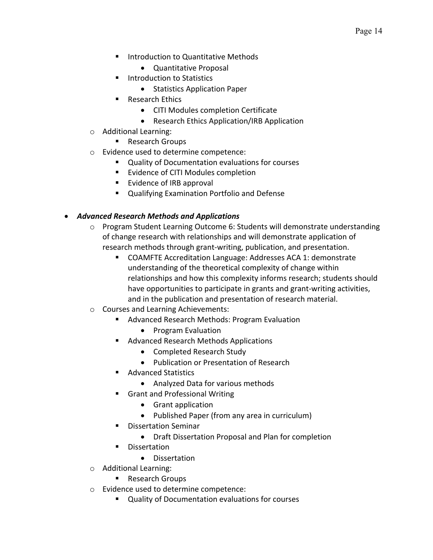- Introduction to Quantitative Methods
	- Quantitative Proposal
- Introduction to Statistics
	- Statistics Application Paper
- Research Ethics
	- CITI Modules completion Certificate
	- Research Ethics Application/IRB Application
- o Additional Learning:
	- Research Groups
- o Evidence used to determine competence:
	- Quality of Documentation evaluations for courses
	- Evidence of CITI Modules completion
	- Evidence of IRB approval
	- Qualifying Examination Portfolio and Defense

## • *Advanced Research Methods and Applications*

- o Program Student Learning Outcome 6: Students will demonstrate understanding of change research with relationships and will demonstrate application of research methods through grant-writing, publication, and presentation.
	- COAMFTE Accreditation Language: Addresses ACA 1: demonstrate understanding of the theoretical complexity of change within relationships and how this complexity informs research; students should have opportunities to participate in grants and grant-writing activities, and in the publication and presentation of research material.
- o Courses and Learning Achievements:
	- Advanced Research Methods: Program Evaluation
		- Program Evaluation
	- Advanced Research Methods Applications
		- Completed Research Study
		- Publication or Presentation of Research
	- Advanced Statistics
		- Analyzed Data for various methods
	- Grant and Professional Writing
		- Grant application
		- Published Paper (from any area in curriculum)
	- § Dissertation Seminar
		- Draft Dissertation Proposal and Plan for completion
	- Dissertation
		- Dissertation
- o Additional Learning:
	- Research Groups
- o Evidence used to determine competence:
	- Quality of Documentation evaluations for courses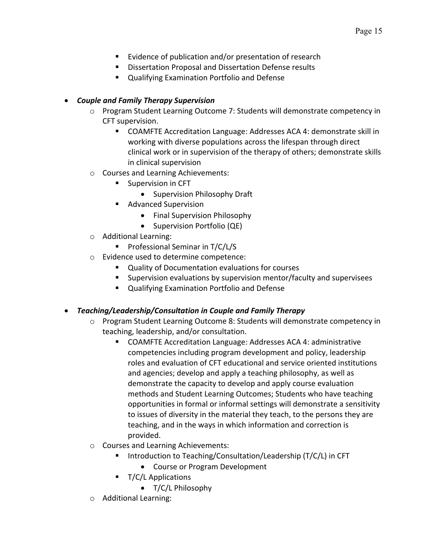- Evidence of publication and/or presentation of research
- Dissertation Proposal and Dissertation Defense results
- Qualifying Examination Portfolio and Defense

## • *Couple and Family Therapy Supervision*

- o Program Student Learning Outcome 7: Students will demonstrate competency in CFT supervision.
	- COAMFTE Accreditation Language: Addresses ACA 4: demonstrate skill in working with diverse populations across the lifespan through direct clinical work or in supervision of the therapy of others; demonstrate skills in clinical supervision
- o Courses and Learning Achievements:
	- Supervision in CFT
		- Supervision Philosophy Draft
		- Advanced Supervision
			- Final Supervision Philosophy
			- Supervision Portfolio (QE)
- o Additional Learning:
	- Professional Seminar in T/C/L/S
- o Evidence used to determine competence:
	- Quality of Documentation evaluations for courses
	- § Supervision evaluations by supervision mentor/faculty and supervisees
	- Qualifying Examination Portfolio and Defense
- *Teaching/Leadership/Consultation in Couple and Family Therapy*
	- o Program Student Learning Outcome 8: Students will demonstrate competency in teaching, leadership, and/or consultation.
		- COAMFTE Accreditation Language: Addresses ACA 4: administrative competencies including program development and policy, leadership roles and evaluation of CFT educational and service oriented institutions and agencies; develop and apply a teaching philosophy, as well as demonstrate the capacity to develop and apply course evaluation methods and Student Learning Outcomes; Students who have teaching opportunities in formal or informal settings will demonstrate a sensitivity to issues of diversity in the material they teach, to the persons they are teaching, and in the ways in which information and correction is provided.
	- o Courses and Learning Achievements:
		- Introduction to Teaching/Consultation/Leadership (T/C/L) in CFT
			- Course or Program Development
		- T/C/L Applications
			- T/C/L Philosophy
	- o Additional Learning: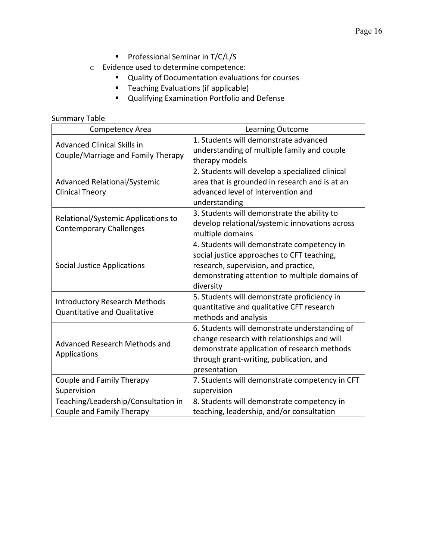- Professional Seminar in T/C/L/S
- o Evidence used to determine competence:
	- Quality of Documentation evaluations for courses
	- Teaching Evaluations (if applicable)
	- § Qualifying Examination Portfolio and Defense

## Summary Table

| <b>Competency Area</b>                                                      | <b>Learning Outcome</b>                                                                                                                                                                                |
|-----------------------------------------------------------------------------|--------------------------------------------------------------------------------------------------------------------------------------------------------------------------------------------------------|
| <b>Advanced Clinical Skills in</b><br>Couple/Marriage and Family Therapy    | 1. Students will demonstrate advanced<br>understanding of multiple family and couple<br>therapy models                                                                                                 |
| <b>Advanced Relational/Systemic</b><br><b>Clinical Theory</b>               | 2. Students will develop a specialized clinical<br>area that is grounded in research and is at an<br>advanced level of intervention and<br>understanding                                               |
| Relational/Systemic Applications to<br><b>Contemporary Challenges</b>       | 3. Students will demonstrate the ability to<br>develop relational/systemic innovations across<br>multiple domains                                                                                      |
| <b>Social Justice Applications</b>                                          | 4. Students will demonstrate competency in<br>social justice approaches to CFT teaching,<br>research, supervision, and practice,<br>demonstrating attention to multiple domains of<br>diversity        |
| <b>Introductory Research Methods</b><br><b>Quantitative and Qualitative</b> | 5. Students will demonstrate proficiency in<br>quantitative and qualitative CFT research<br>methods and analysis                                                                                       |
| Advanced Research Methods and<br>Applications                               | 6. Students will demonstrate understanding of<br>change research with relationships and will<br>demonstrate application of research methods<br>through grant-writing, publication, and<br>presentation |
| Couple and Family Therapy<br>Supervision                                    | 7. Students will demonstrate competency in CFT<br>supervision                                                                                                                                          |
| Teaching/Leadership/Consultation in                                         |                                                                                                                                                                                                        |
| Couple and Family Therapy                                                   | 8. Students will demonstrate competency in<br>teaching, leadership, and/or consultation                                                                                                                |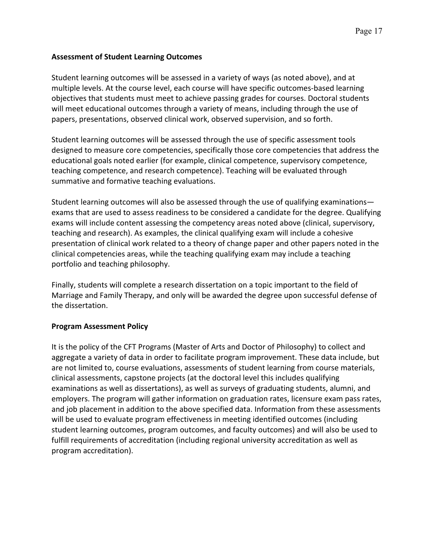## **Assessment of Student Learning Outcomes**

Student learning outcomes will be assessed in a variety of ways (as noted above), and at multiple levels. At the course level, each course will have specific outcomes-based learning objectives that students must meet to achieve passing grades for courses. Doctoral students will meet educational outcomes through a variety of means, including through the use of papers, presentations, observed clinical work, observed supervision, and so forth.

Student learning outcomes will be assessed through the use of specific assessment tools designed to measure core competencies, specifically those core competencies that address the educational goals noted earlier (for example, clinical competence, supervisory competence, teaching competence, and research competence). Teaching will be evaluated through summative and formative teaching evaluations.

Student learning outcomes will also be assessed through the use of qualifying examinations exams that are used to assess readiness to be considered a candidate for the degree. Qualifying exams will include content assessing the competency areas noted above (clinical, supervisory, teaching and research). As examples, the clinical qualifying exam will include a cohesive presentation of clinical work related to a theory of change paper and other papers noted in the clinical competencies areas, while the teaching qualifying exam may include a teaching portfolio and teaching philosophy.

Finally, students will complete a research dissertation on a topic important to the field of Marriage and Family Therapy, and only will be awarded the degree upon successful defense of the dissertation.

## **Program Assessment Policy**

It is the policy of the CFT Programs (Master of Arts and Doctor of Philosophy) to collect and aggregate a variety of data in order to facilitate program improvement. These data include, but are not limited to, course evaluations, assessments of student learning from course materials, clinical assessments, capstone projects (at the doctoral level this includes qualifying examinations as well as dissertations), as well as surveys of graduating students, alumni, and employers. The program will gather information on graduation rates, licensure exam pass rates, and job placement in addition to the above specified data. Information from these assessments will be used to evaluate program effectiveness in meeting identified outcomes (including student learning outcomes, program outcomes, and faculty outcomes) and will also be used to fulfill requirements of accreditation (including regional university accreditation as well as program accreditation).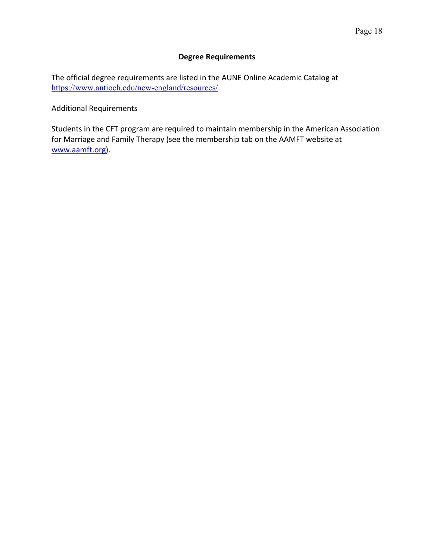#### **Degree Requirements**

The official degree requirements are listed in the AUNE Online Academic Catalog at https://www.antioch.edu/new-england/resources/.

Additional Requirements

Students in the CFT program are required to maintain membership in the American Association for Marriage and Family Therapy (see the membership tab on the AAMFT website at www.aamft.org).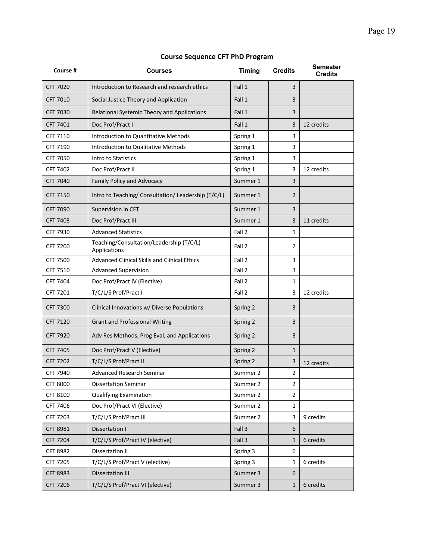| Course #        | Courses                                                  | <b>Timing</b> | <b>Credits</b> | <b>Semester</b><br><b>Credits</b> |
|-----------------|----------------------------------------------------------|---------------|----------------|-----------------------------------|
| <b>CFT 7020</b> | Introduction to Research and research ethics             | Fall 1        | 3              |                                   |
| CFT 7010        | Social Justice Theory and Application                    | Fall 1        | 3              |                                   |
| <b>CFT 7030</b> | Relational Systemic Theory and Applications              | Fall 1        | 3              |                                   |
| CFT 7401        | Doc Prof/Pract I                                         | Fall 1        | 3              | 12 credits                        |
| CFT 7110        | Introduction to Quantitative Methods                     | Spring 1      | 3              |                                   |
| CFT 7190        | Introduction to Qualitative Methods                      | Spring 1      | 3              |                                   |
| CFT 7050        | Intro to Statistics                                      | Spring 1      | 3              |                                   |
| CFT 7402        | Doc Prof/Pract II                                        | Spring 1      | 3              | 12 credits                        |
| <b>CFT 7040</b> | Family Policy and Advocacy                               | Summer 1      | 3              |                                   |
| <b>CFT 7150</b> | Intro to Teaching/ Consultation/ Leadership (T/C/L)      | Summer 1      | $\overline{2}$ |                                   |
| <b>CFT 7090</b> | Supervision in CFT                                       | Summer 1      | 3              |                                   |
| CFT 7403        | Doc Prof/Pract III                                       | Summer 1      | 3              | 11 credits                        |
| CFT 7930        | <b>Advanced Statistics</b>                               | Fall 2        | $\mathbf{1}$   |                                   |
| CFT 7200        | Teaching/Consultation/Leadership (T/C/L)<br>Applications | Fall 2        | $\overline{2}$ |                                   |
| CFT 7500        | Advanced Clinical Skills and Clinical Ethics             | Fall 2        | 3              |                                   |
| CFT 7510        | <b>Advanced Supervision</b>                              | Fall 2        | 3              |                                   |
| CFT 7404        | Doc Prof/Pract IV (Elective)                             | Fall 2        | $\mathbf{1}$   |                                   |
| CFT 7201        | T/C/L/S Prof/Pract I                                     | Fall 2        | 3              | 12 credits                        |
| <b>CFT 7300</b> | Clinical Innovations w/ Diverse Populations              | Spring 2      | 3              |                                   |
| <b>CFT 7120</b> | <b>Grant and Professional Writing</b>                    | Spring 2      | 3              |                                   |
| <b>CFT 7920</b> | Adv Res Methods, Prog Eval, and Applications             | Spring 2      | 3              |                                   |
| CFT 7405        | Doc Prof/Pract V (Elective)                              | Spring 2      | $\mathbf{1}$   |                                   |
| <b>CFT 7202</b> | T/C/L/S Prof/Pract II                                    | Spring 2      | 3              | 12 credits                        |
| CFT 7940        | <b>Advanced Research Seminar</b>                         | Summer 2      | $\overline{2}$ |                                   |
| <b>CFT 8000</b> | <b>Dissertation Seminar</b>                              | Summer 2      | $\overline{2}$ |                                   |
| CFT 8100        | <b>Qualifying Examination</b>                            | Summer 2      | 2              |                                   |
| CFT 7406        | Doc Prof/Pract VI (Elective)                             | Summer 2      | 1              |                                   |
| CFT 7203        | T/C/L/S Prof/Pract III                                   | Summer 2      | 3              | 9 credits                         |
| <b>CFT 8981</b> | Dissertation I                                           | Fall 3        | 6              |                                   |
| CFT 7204        | T/C/L/S Prof/Pract IV (elective)                         | Fall 3        | $1\,$          | 6 credits                         |
| <b>CFT 8982</b> | Dissertation II                                          | Spring 3      | 6              |                                   |
| CFT 7205        | T/C/L/S Prof/Pract V (elective)                          | Spring 3      | $\mathbf 1$    | 6 credits                         |
| <b>CFT 8983</b> | <b>Dissertation III</b>                                  | Summer 3      | 6              |                                   |
| CFT 7206        | T/C/L/S Prof/Pract VI (elective)                         | Summer 3      | $\mathbf{1}$   | 6 credits                         |

## **Course Sequence CFT PhD Program**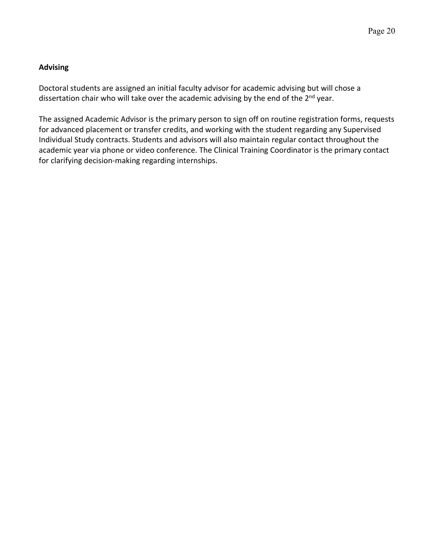## **Advising**

Doctoral students are assigned an initial faculty advisor for academic advising but will chose a dissertation chair who will take over the academic advising by the end of the 2<sup>nd</sup> year.

The assigned Academic Advisor is the primary person to sign off on routine registration forms, requests for advanced placement or transfer credits, and working with the student regarding any Supervised Individual Study contracts. Students and advisors will also maintain regular contact throughout the academic year via phone or video conference. The Clinical Training Coordinator is the primary contact for clarifying decision-making regarding internships.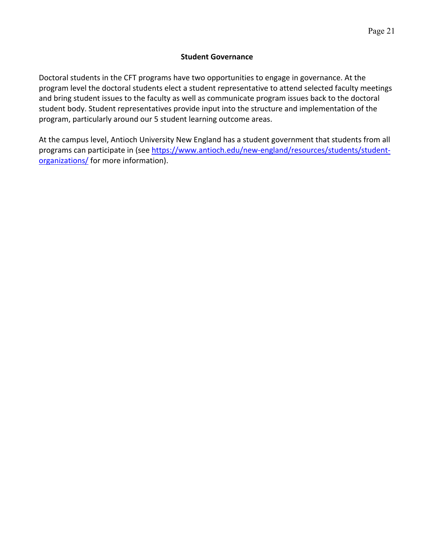#### **Student Governance**

Doctoral students in the CFT programs have two opportunities to engage in governance. At the program level the doctoral students elect a student representative to attend selected faculty meetings and bring student issues to the faculty as well as communicate program issues back to the doctoral student body. Student representatives provide input into the structure and implementation of the program, particularly around our 5 student learning outcome areas.

At the campus level, Antioch University New England has a student government that students from all programs can participate in (see https://www.antioch.edu/new-england/resources/students/studentorganizations/ for more information).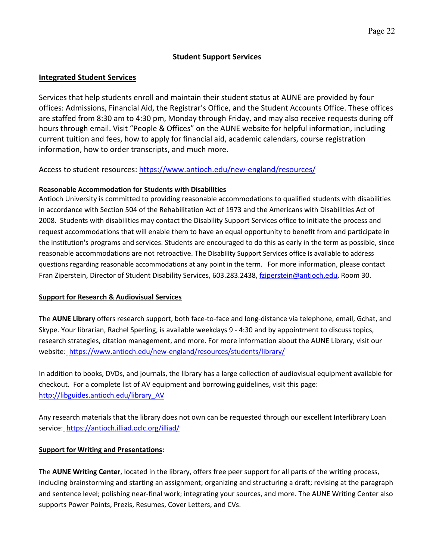#### **Student Support Services**

#### **Integrated Student Services**

Services that help students enroll and maintain their student status at AUNE are provided by four offices: Admissions, Financial Aid, the Registrar's Office, and the Student Accounts Office. These offices are staffed from 8:30 am to 4:30 pm, Monday through Friday, and may also receive requests during off hours through email. Visit "People & Offices" on the AUNE website for helpful information, including current tuition and fees, how to apply for financial aid, academic calendars, course registration information, how to order transcripts, and much more.

#### Access to student resources: https://www.antioch.edu/new-england/resources/

#### **Reasonable Accommodation for Students with Disabilities**

Antioch University is committed to providing reasonable accommodations to qualified students with disabilities in accordance with Section 504 of the Rehabilitation Act of 1973 and the Americans with Disabilities Act of 2008. Students with disabilities may contact the Disability Support Services office to initiate the process and request accommodations that will enable them to have an equal opportunity to benefit from and participate in the institution's programs and services. Students are encouraged to do this as early in the term as possible, since reasonable accommodations are not retroactive. The Disability Support Services office is available to address questions regarding reasonable accommodations at any point in the term. For more information, please contact Fran Ziperstein, Director of Student Disability Services, 603.283.2438, fziperstein@antioch.edu, Room 30.

#### **Support for Research & Audiovisual Services**

The **AUNE Library** offers research support, both face-to-face and long-distance via telephone, email, Gchat, and Skype. Your librarian, Rachel Sperling, is available weekdays 9 - 4:30 and by appointment to discuss topics, research strategies, citation management, and more. For more information about the AUNE Library, visit our website: https://www.antioch.edu/new-england/resources/students/library/

In addition to books, DVDs, and journals, the library has a large collection of audiovisual equipment available for checkout. For a complete list of AV equipment and borrowing guidelines, visit this page: http://libguides.antioch.edu/library\_AV

Any research materials that the library does not own can be requested through our excellent Interlibrary Loan service: https://antioch.illiad.oclc.org/illiad/

#### **Support for Writing and Presentations:**

The **AUNE Writing Center**, located in the library, offers free peer support for all parts of the writing process, including brainstorming and starting an assignment; organizing and structuring a draft; revising at the paragraph and sentence level; polishing near-final work; integrating your sources, and more. The AUNE Writing Center also supports Power Points, Prezis, Resumes, Cover Letters, and CVs.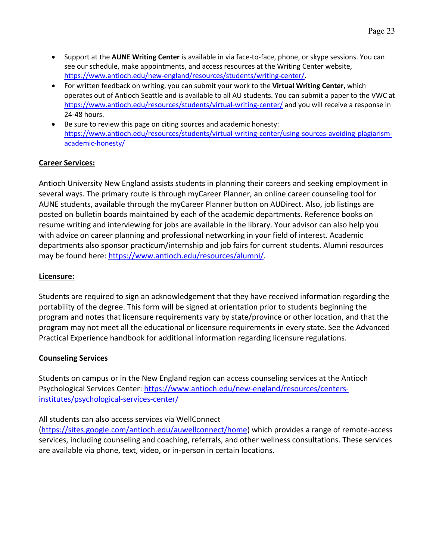- Support at the **AUNE Writing Center** is available in via face-to-face, phone, or skype sessions. You can see our schedule, make appointments, and access resources at the Writing Center website, https://www.antioch.edu/new-england/resources/students/writing-center/.
- For written feedback on writing, you can submit your work to the **Virtual Writing Center**, which operates out of Antioch Seattle and is available to all AU students. You can submit a paper to the VWC at https://www.antioch.edu/resources/students/virtual-writing-center/ and you will receive a response in 24-48 hours.
- Be sure to review this page on citing sources and academic honesty: https://www.antioch.edu/resources/students/virtual-writing-center/using-sources-avoiding-plagiarismacademic-honesty/

## **Career Services:**

Antioch University New England assists students in planning their careers and seeking employment in several ways. The primary route is through myCareer Planner, an online career counseling tool for AUNE students, available through the myCareer Planner button on AUDirect. Also, job listings are posted on bulletin boards maintained by each of the academic departments. Reference books on resume writing and interviewing for jobs are available in the library. Your advisor can also help you with advice on career planning and professional networking in your field of interest. Academic departments also sponsor practicum/internship and job fairs for current students. Alumni resources may be found here: https://www.antioch.edu/resources/alumni/.

#### **Licensure:**

Students are required to sign an acknowledgement that they have received information regarding the portability of the degree. This form will be signed at orientation prior to students beginning the program and notes that licensure requirements vary by state/province or other location, and that the program may not meet all the educational or licensure requirements in every state. See the Advanced Practical Experience handbook for additional information regarding licensure regulations.

#### **Counseling Services**

Students on campus or in the New England region can access counseling services at the Antioch Psychological Services Center: https://www.antioch.edu/new-england/resources/centersinstitutes/psychological-services-center/

#### All students can also access services via WellConnect

(https://sites.google.com/antioch.edu/auwellconnect/home) which provides a range of remote-access services, including counseling and coaching, referrals, and other wellness consultations. These services are available via phone, text, video, or in-person in certain locations.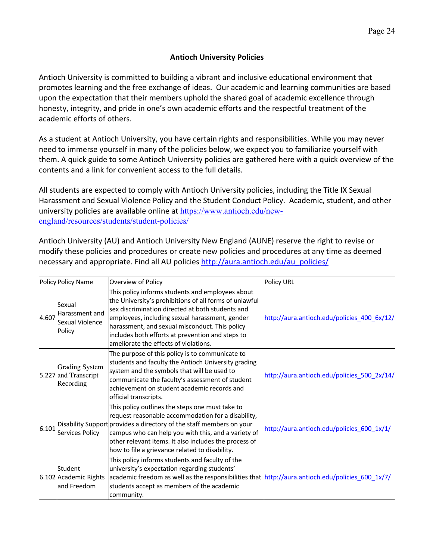## **Antioch University Policies**

Antioch University is committed to building a vibrant and inclusive educational environment that promotes learning and the free exchange of ideas. Our academic and learning communities are based upon the expectation that their members uphold the shared goal of academic excellence through honesty, integrity, and pride in one's own academic efforts and the respectful treatment of the academic efforts of others.

As a student at Antioch University, you have certain rights and responsibilities. While you may never need to immerse yourself in many of the policies below, we expect you to familiarize yourself with them. A quick guide to some Antioch University policies are gathered here with a quick overview of the contents and a link for convenient access to the full details.

All students are expected to comply with Antioch University policies, including the Title IX Sexual Harassment and Sexual Violence Policy and the Student Conduct Policy. Academic, student, and other university policies are available online at https://www.antioch.edu/newengland/resources/students/student-policies/

Antioch University (AU) and Antioch University New England (AUNE) reserve the right to revise or modify these policies and procedures or create new policies and procedures at any time as deemed necessary and appropriate. Find all AU policies http://aura.antioch.edu/au\_policies/

|       | Policy Policy Name                                         | Overview of Policy                                                                                                                                                                                                                                                                                                                                              | <b>Policy URL</b>                           |
|-------|------------------------------------------------------------|-----------------------------------------------------------------------------------------------------------------------------------------------------------------------------------------------------------------------------------------------------------------------------------------------------------------------------------------------------------------|---------------------------------------------|
| 4.607 | Sexual<br>Harassment and<br>lSexual Violence<br>Policy     | This policy informs students and employees about<br>the University's prohibitions of all forms of unlawful<br>sex discrimination directed at both students and<br>employees, including sexual harassment, gender<br>harassment, and sexual misconduct. This policy<br>includes both efforts at prevention and steps to<br>ameliorate the effects of violations. | http://aura.antioch.edu/policies_400_6x/12/ |
|       | <b>Grading System</b><br>5.227 and Transcript<br>Recording | The purpose of this policy is to communicate to<br>students and faculty the Antioch University grading<br>system and the symbols that will be used to<br>communicate the faculty's assessment of student<br>achievement on student academic records and<br>official transcripts.                                                                                | http://aura.antioch.edu/policies_500_2x/14/ |
| 6.101 | Services Policy                                            | This policy outlines the steps one must take to<br>request reasonable accommodation for a disability,<br>Disability Support provides a directory of the staff members on your<br>campus who can help you with this, and a variety of<br>other relevant items. It also includes the process of<br>how to file a grievance related to disability.                 | http://aura.antioch.edu/policies_600_1x/1/  |
|       | Student<br>6.102 Academic Rights<br>land Freedom           | This policy informs students and faculty of the<br>university's expectation regarding students'<br>academic freedom as well as the responsibilities that $\frac{http://aura.antioch.edu/policies_600_1x/7}{$<br>students accept as members of the academic<br>community.                                                                                        |                                             |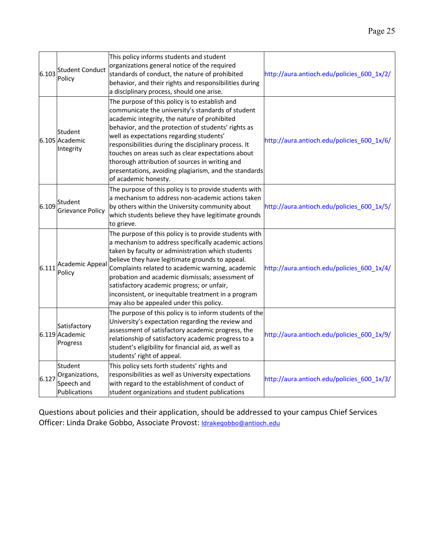| 6.103 | <b>Student Conduct</b><br>Policy                        | This policy informs students and student<br>organizations general notice of the required<br>standards of conduct, the nature of prohibited<br>behavior, and their rights and responsibilities during<br>a disciplinary process, should one arise.                                                                                                                                                                                                                                                      | http://aura.antioch.edu/policies_600_1x/2/ |
|-------|---------------------------------------------------------|--------------------------------------------------------------------------------------------------------------------------------------------------------------------------------------------------------------------------------------------------------------------------------------------------------------------------------------------------------------------------------------------------------------------------------------------------------------------------------------------------------|--------------------------------------------|
|       | Student<br>6.105 Academic<br>Integrity                  | The purpose of this policy is to establish and<br>communicate the university's standards of student<br>academic integrity, the nature of prohibited<br>behavior, and the protection of students' rights as<br>well as expectations regarding students'<br>responsibilities during the disciplinary process. It<br>touches on areas such as clear expectations about<br>thorough attribution of sources in writing and<br>presentations, avoiding plagiarism, and the standards<br>of academic honesty. | http://aura.antioch.edu/policies_600_1x/6/ |
|       | $6.109$ Student<br><b>Grievance Policy</b>              | The purpose of this policy is to provide students with<br>a mechanism to address non-academic actions taken<br>by others within the University community about<br>which students believe they have legitimate grounds<br>to grieve.                                                                                                                                                                                                                                                                    | http://aura.antioch.edu/policies_600_1x/5/ |
| 6.111 | Academic Appeal<br>Policy                               | The purpose of this policy is to provide students with<br>a mechanism to address specifically academic actions<br>taken by faculty or administration which students<br>believe they have legitimate grounds to appeal.<br>Complaints related to academic warning, academic<br>probation and academic dismissals; assessment of<br>satisfactory academic progress; or unfair,<br>inconsistent, or inequitable treatment in a program<br>may also be appealed under this policy.                         | http://aura.antioch.edu/policies_600_1x/4/ |
|       | Satisfactory<br>6.119 Academic<br>Progress              | The purpose of this policy is to inform students of the<br>University's expectation regarding the review and<br>assessment of satisfactory academic progress, the<br>relationship of satisfactory academic progress to a<br>student's eligibility for financial aid, as well as<br>students' right of appeal.                                                                                                                                                                                          | http://aura.antioch.edu/policies 600 1x/9/ |
| 6.127 | Student<br>Organizations,<br>Speech and<br>Publications | This policy sets forth students' rights and<br>responsibilities as well as University expectations<br>with regard to the establishment of conduct of<br>student organizations and student publications                                                                                                                                                                                                                                                                                                 | http://aura.antioch.edu/policies_600_1x/3/ |

Questions about policies and their application, should be addressed to your campus Chief Services Officer: Linda Drake Gobbo, Associate Provost: *Idrakegobbo@antioch.edu*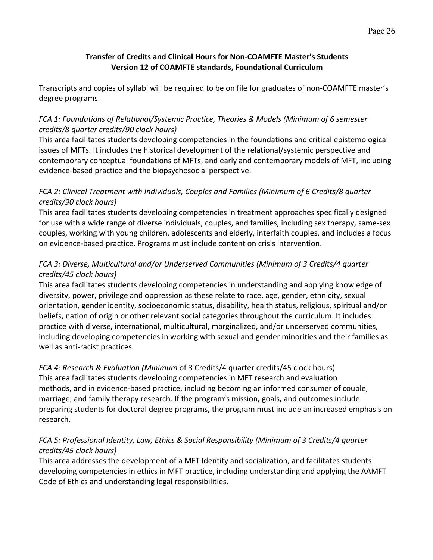## **Transfer of Credits and Clinical Hours for Non-COAMFTE Master's Students Version 12 of COAMFTE standards, Foundational Curriculum**

Transcripts and copies of syllabi will be required to be on file for graduates of non-COAMFTE master's degree programs.

# *FCA 1: Foundations of Relational/Systemic Practice, Theories & Models (Minimum of 6 semester credits/8 quarter credits/90 clock hours)*

This area facilitates students developing competencies in the foundations and critical epistemological issues of MFTs. It includes the historical development of the relational/systemic perspective and contemporary conceptual foundations of MFTs, and early and contemporary models of MFT, including evidence-based practice and the biopsychosocial perspective.

## *FCA 2: Clinical Treatment with Individuals, Couples and Families (Minimum of 6 Credits/8 quarter credits/90 clock hours)*

This area facilitates students developing competencies in treatment approaches specifically designed for use with a wide range of diverse individuals, couples, and families, including sex therapy, same-sex couples, working with young children, adolescents and elderly, interfaith couples, and includes a focus on evidence-based practice. Programs must include content on crisis intervention.

# *FCA 3: Diverse, Multicultural and/or Underserved Communities (Minimum of 3 Credits/4 quarter credits/45 clock hours)*

This area facilitates students developing competencies in understanding and applying knowledge of diversity, power, privilege and oppression as these relate to race, age, gender, ethnicity, sexual orientation, gender identity, socioeconomic status, disability, health status, religious, spiritual and/or beliefs, nation of origin or other relevant social categories throughout the curriculum. It includes practice with diverse**,** international, multicultural, marginalized, and/or underserved communities, including developing competencies in working with sexual and gender minorities and their families as well as anti-racist practices.

## *FCA 4: Research & Evaluation (Minimum* of 3 Credits/4 quarter credits/45 clock hours) This area facilitates students developing competencies in MFT research and evaluation methods, and in evidence-based practice, including becoming an informed consumer of couple, marriage, and family therapy research. If the program's mission**,** goals**,** and outcomes include preparing students for doctoral degree programs**,** the program must include an increased emphasis on research.

# *FCA 5: Professional Identity, Law, Ethics & Social Responsibility (Minimum of 3 Credits/4 quarter credits/45 clock hours)*

This area addresses the development of a MFT Identity and socialization, and facilitates students developing competencies in ethics in MFT practice, including understanding and applying the AAMFT Code of Ethics and understanding legal responsibilities.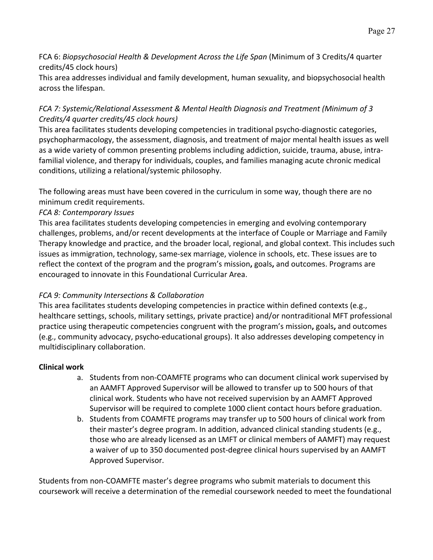FCA 6: *Biopsychosocial Health & Development Across the Life Span* (Minimum of 3 Credits/4 quarter credits/45 clock hours)

This area addresses individual and family development, human sexuality, and biopsychosocial health across the lifespan.

# *FCA 7: Systemic/Relational Assessment & Mental Health Diagnosis and Treatment (Minimum of 3 Credits/4 quarter credits/45 clock hours)*

This area facilitates students developing competencies in traditional psycho-diagnostic categories, psychopharmacology, the assessment, diagnosis, and treatment of major mental health issues as well as a wide variety of common presenting problems including addiction, suicide, trauma, abuse, intrafamilial violence, and therapy for individuals, couples, and families managing acute chronic medical conditions, utilizing a relational/systemic philosophy.

The following areas must have been covered in the curriculum in some way, though there are no minimum credit requirements.

## *FCA 8: Contemporary Issues*

This area facilitates students developing competencies in emerging and evolving contemporary challenges, problems, and/or recent developments at the interface of Couple or Marriage and Family Therapy knowledge and practice, and the broader local, regional, and global context. This includes such issues as immigration, technology, same-sex marriage, violence in schools, etc. These issues are to reflect the context of the program and the program's mission**,** goals**,** and outcomes. Programs are encouraged to innovate in this Foundational Curricular Area.

## *FCA 9: Community Intersections & Collaboration*

This area facilitates students developing competencies in practice within defined contexts (e.g., healthcare settings, schools, military settings, private practice) and/or nontraditional MFT professional practice using therapeutic competencies congruent with the program's mission**,** goals**,** and outcomes (e.g., community advocacy, psycho-educational groups). It also addresses developing competency in multidisciplinary collaboration.

# **Clinical work**

- a. Students from non-COAMFTE programs who can document clinical work supervised by an AAMFT Approved Supervisor will be allowed to transfer up to 500 hours of that clinical work. Students who have not received supervision by an AAMFT Approved Supervisor will be required to complete 1000 client contact hours before graduation.
- b. Students from COAMFTE programs may transfer up to 500 hours of clinical work from their master's degree program. In addition, advanced clinical standing students (e.g., those who are already licensed as an LMFT or clinical members of AAMFT) may request a waiver of up to 350 documented post-degree clinical hours supervised by an AAMFT Approved Supervisor.

Students from non-COAMFTE master's degree programs who submit materials to document this coursework will receive a determination of the remedial coursework needed to meet the foundational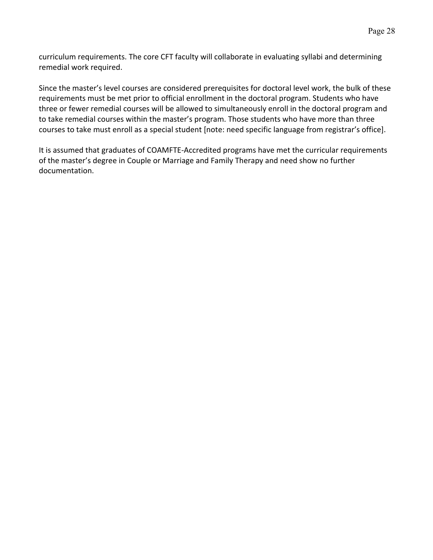curriculum requirements. The core CFT faculty will collaborate in evaluating syllabi and determining remedial work required.

Since the master's level courses are considered prerequisites for doctoral level work, the bulk of these requirements must be met prior to official enrollment in the doctoral program. Students who have three or fewer remedial courses will be allowed to simultaneously enroll in the doctoral program and to take remedial courses within the master's program. Those students who have more than three courses to take must enroll as a special student [note: need specific language from registrar's office].

It is assumed that graduates of COAMFTE-Accredited programs have met the curricular requirements of the master's degree in Couple or Marriage and Family Therapy and need show no further documentation.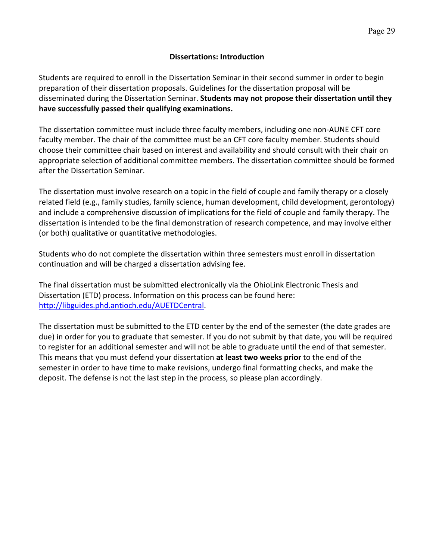## **Dissertations: Introduction**

Students are required to enroll in the Dissertation Seminar in their second summer in order to begin preparation of their dissertation proposals. Guidelines for the dissertation proposal will be disseminated during the Dissertation Seminar. **Students may not propose their dissertation until they have successfully passed their qualifying examinations.**

The dissertation committee must include three faculty members, including one non-AUNE CFT core faculty member. The chair of the committee must be an CFT core faculty member. Students should choose their committee chair based on interest and availability and should consult with their chair on appropriate selection of additional committee members. The dissertation committee should be formed after the Dissertation Seminar.

The dissertation must involve research on a topic in the field of couple and family therapy or a closely related field (e.g., family studies, family science, human development, child development, gerontology) and include a comprehensive discussion of implications for the field of couple and family therapy. The dissertation is intended to be the final demonstration of research competence, and may involve either (or both) qualitative or quantitative methodologies.

Students who do not complete the dissertation within three semesters must enroll in dissertation continuation and will be charged a dissertation advising fee.

The final dissertation must be submitted electronically via the OhioLink Electronic Thesis and Dissertation (ETD) process. Information on this process can be found here: http://libguides.phd.antioch.edu/AUETDCentral.

The dissertation must be submitted to the ETD center by the end of the semester (the date grades are due) in order for you to graduate that semester. If you do not submit by that date, you will be required to register for an additional semester and will not be able to graduate until the end of that semester. This means that you must defend your dissertation **at least two weeks prior** to the end of the semester in order to have time to make revisions, undergo final formatting checks, and make the deposit. The defense is not the last step in the process, so please plan accordingly.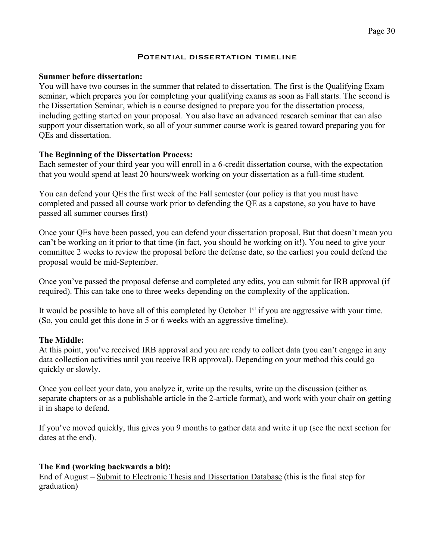#### Page 30

#### POTENTIAL DISSERTATION TIMELINE

#### **Summer before dissertation:**

You will have two courses in the summer that related to dissertation. The first is the Qualifying Exam seminar, which prepares you for completing your qualifying exams as soon as Fall starts. The second is the Dissertation Seminar, which is a course designed to prepare you for the dissertation process, including getting started on your proposal. You also have an advanced research seminar that can also support your dissertation work, so all of your summer course work is geared toward preparing you for QEs and dissertation.

#### **The Beginning of the Dissertation Process:**

Each semester of your third year you will enroll in a 6-credit dissertation course, with the expectation that you would spend at least 20 hours/week working on your dissertation as a full-time student.

You can defend your QEs the first week of the Fall semester (our policy is that you must have completed and passed all course work prior to defending the QE as a capstone, so you have to have passed all summer courses first)

Once your QEs have been passed, you can defend your dissertation proposal. But that doesn't mean you can't be working on it prior to that time (in fact, you should be working on it!). You need to give your committee 2 weeks to review the proposal before the defense date, so the earliest you could defend the proposal would be mid-September.

Once you've passed the proposal defense and completed any edits, you can submit for IRB approval (if required). This can take one to three weeks depending on the complexity of the application.

It would be possible to have all of this completed by October  $1<sup>st</sup>$  if you are aggressive with your time. (So, you could get this done in 5 or 6 weeks with an aggressive timeline).

#### **The Middle:**

At this point, you've received IRB approval and you are ready to collect data (you can't engage in any data collection activities until you receive IRB approval). Depending on your method this could go quickly or slowly.

Once you collect your data, you analyze it, write up the results, write up the discussion (either as separate chapters or as a publishable article in the 2-article format), and work with your chair on getting it in shape to defend.

If you've moved quickly, this gives you 9 months to gather data and write it up (see the next section for dates at the end).

#### **The End (working backwards a bit):**

End of August – Submit to Electronic Thesis and Dissertation Database (this is the final step for graduation)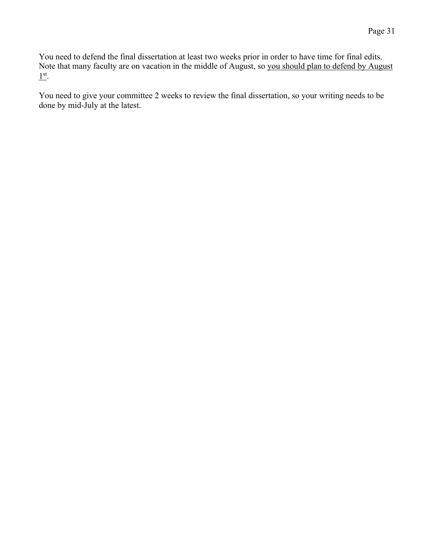You need to defend the final dissertation at least two weeks prior in order to have time for final edits. Note that many faculty are on vacation in the middle of August, so you should plan to defend by August  $\underline{1}$ <sup>st</sup>.

You need to give your committee 2 weeks to review the final dissertation, so your writing needs to be done by mid-July at the latest.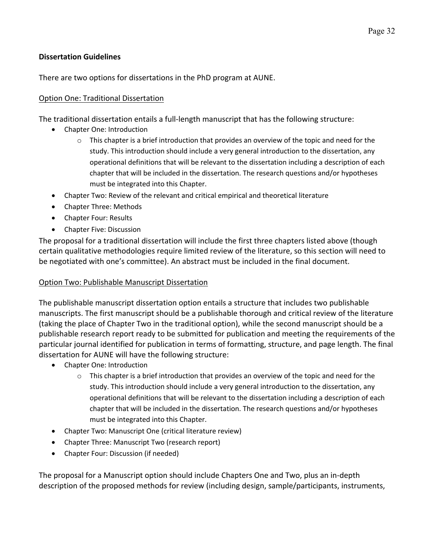## **Dissertation Guidelines**

There are two options for dissertations in the PhD program at AUNE.

### Option One: Traditional Dissertation

The traditional dissertation entails a full-length manuscript that has the following structure:

- Chapter One: Introduction
	- $\circ$  This chapter is a brief introduction that provides an overview of the topic and need for the study. This introduction should include a very general introduction to the dissertation, any operational definitions that will be relevant to the dissertation including a description of each chapter that will be included in the dissertation. The research questions and/or hypotheses must be integrated into this Chapter.
- Chapter Two: Review of the relevant and critical empirical and theoretical literature
- Chapter Three: Methods
- Chapter Four: Results
- Chapter Five: Discussion

The proposal for a traditional dissertation will include the first three chapters listed above (though certain qualitative methodologies require limited review of the literature, so this section will need to be negotiated with one's committee). An abstract must be included in the final document.

## Option Two: Publishable Manuscript Dissertation

The publishable manuscript dissertation option entails a structure that includes two publishable manuscripts. The first manuscript should be a publishable thorough and critical review of the literature (taking the place of Chapter Two in the traditional option), while the second manuscript should be a publishable research report ready to be submitted for publication and meeting the requirements of the particular journal identified for publication in terms of formatting, structure, and page length. The final dissertation for AUNE will have the following structure:

- Chapter One: Introduction
	- $\circ$  This chapter is a brief introduction that provides an overview of the topic and need for the study. This introduction should include a very general introduction to the dissertation, any operational definitions that will be relevant to the dissertation including a description of each chapter that will be included in the dissertation. The research questions and/or hypotheses must be integrated into this Chapter.
- Chapter Two: Manuscript One (critical literature review)
- Chapter Three: Manuscript Two (research report)
- Chapter Four: Discussion (if needed)

The proposal for a Manuscript option should include Chapters One and Two, plus an in-depth description of the proposed methods for review (including design, sample/participants, instruments,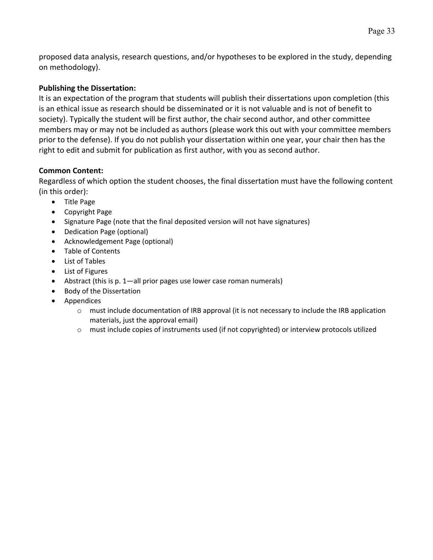proposed data analysis, research questions, and/or hypotheses to be explored in the study, depending on methodology).

## **Publishing the Dissertation:**

It is an expectation of the program that students will publish their dissertations upon completion (this is an ethical issue as research should be disseminated or it is not valuable and is not of benefit to society). Typically the student will be first author, the chair second author, and other committee members may or may not be included as authors (please work this out with your committee members prior to the defense). If you do not publish your dissertation within one year, your chair then has the right to edit and submit for publication as first author, with you as second author.

## **Common Content:**

Regardless of which option the student chooses, the final dissertation must have the following content (in this order):

- Title Page
- Copyright Page
- Signature Page (note that the final deposited version will not have signatures)
- Dedication Page (optional)
- Acknowledgement Page (optional)
- Table of Contents
- List of Tables
- List of Figures
- Abstract (this is p. 1—all prior pages use lower case roman numerals)
- Body of the Dissertation
- Appendices
	- o must include documentation of IRB approval (it is not necessary to include the IRB application materials, just the approval email)
	- o must include copies of instruments used (if not copyrighted) or interview protocols utilized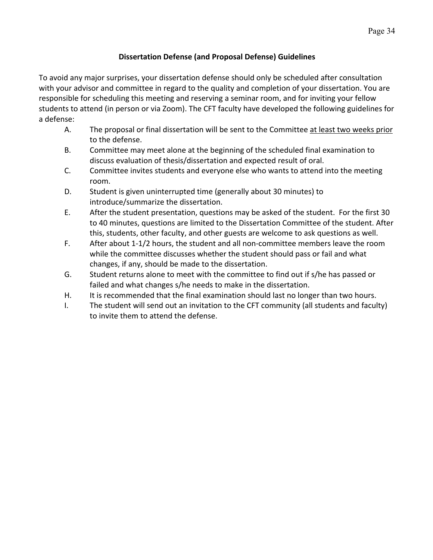## **Dissertation Defense (and Proposal Defense) Guidelines**

To avoid any major surprises, your dissertation defense should only be scheduled after consultation with your advisor and committee in regard to the quality and completion of your dissertation. You are responsible for scheduling this meeting and reserving a seminar room, and for inviting your fellow students to attend (in person or via Zoom). The CFT faculty have developed the following guidelines for a defense:

- A. The proposal or final dissertation will be sent to the Committee at least two weeks prior to the defense.
- B. Committee may meet alone at the beginning of the scheduled final examination to discuss evaluation of thesis/dissertation and expected result of oral.
- C. Committee invites students and everyone else who wants to attend into the meeting room.
- D. Student is given uninterrupted time (generally about 30 minutes) to introduce/summarize the dissertation.
- E. After the student presentation, questions may be asked of the student. For the first 30 to 40 minutes, questions are limited to the Dissertation Committee of the student. After this, students, other faculty, and other guests are welcome to ask questions as well.
- F. After about 1-1/2 hours, the student and all non-committee members leave the room while the committee discusses whether the student should pass or fail and what changes, if any, should be made to the dissertation.
- G. Student returns alone to meet with the committee to find out if s/he has passed or failed and what changes s/he needs to make in the dissertation.
- H. It is recommended that the final examination should last no longer than two hours.
- I. The student will send out an invitation to the CFT community (all students and faculty) to invite them to attend the defense.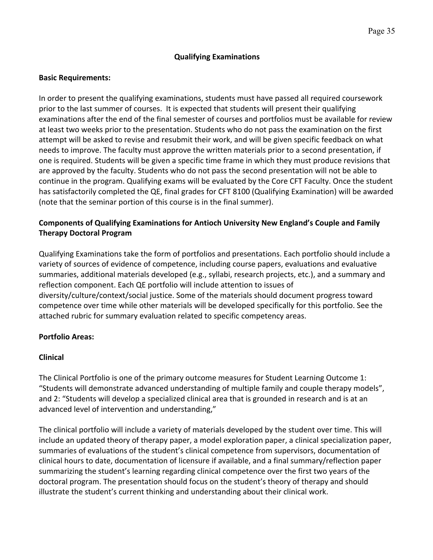#### **Qualifying Examinations**

### **Basic Requirements:**

In order to present the qualifying examinations, students must have passed all required coursework prior to the last summer of courses. It is expected that students will present their qualifying examinations after the end of the final semester of courses and portfolios must be available for review at least two weeks prior to the presentation. Students who do not pass the examination on the first attempt will be asked to revise and resubmit their work, and will be given specific feedback on what needs to improve. The faculty must approve the written materials prior to a second presentation, if one is required. Students will be given a specific time frame in which they must produce revisions that are approved by the faculty. Students who do not pass the second presentation will not be able to continue in the program. Qualifying exams will be evaluated by the Core CFT Faculty. Once the student has satisfactorily completed the QE, final grades for CFT 8100 (Qualifying Examination) will be awarded (note that the seminar portion of this course is in the final summer).

## **Components of Qualifying Examinations for Antioch University New England's Couple and Family Therapy Doctoral Program**

Qualifying Examinations take the form of portfolios and presentations. Each portfolio should include a variety of sources of evidence of competence, including course papers, evaluations and evaluative summaries, additional materials developed (e.g., syllabi, research projects, etc.), and a summary and reflection component. Each QE portfolio will include attention to issues of diversity/culture/context/social justice. Some of the materials should document progress toward competence over time while other materials will be developed specifically for this portfolio. See the attached rubric for summary evaluation related to specific competency areas.

## **Portfolio Areas:**

#### **Clinical**

The Clinical Portfolio is one of the primary outcome measures for Student Learning Outcome 1: "Students will demonstrate advanced understanding of multiple family and couple therapy models", and 2: "Students will develop a specialized clinical area that is grounded in research and is at an advanced level of intervention and understanding,"

The clinical portfolio will include a variety of materials developed by the student over time. This will include an updated theory of therapy paper, a model exploration paper, a clinical specialization paper, summaries of evaluations of the student's clinical competence from supervisors, documentation of clinical hours to date, documentation of licensure if available, and a final summary/reflection paper summarizing the student's learning regarding clinical competence over the first two years of the doctoral program. The presentation should focus on the student's theory of therapy and should illustrate the student's current thinking and understanding about their clinical work.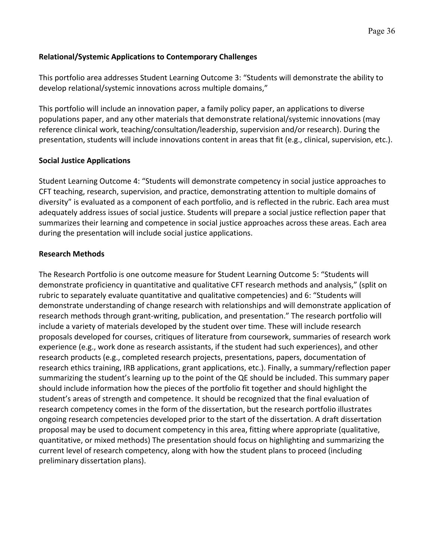## **Relational/Systemic Applications to Contemporary Challenges**

This portfolio area addresses Student Learning Outcome 3: "Students will demonstrate the ability to develop relational/systemic innovations across multiple domains,"

This portfolio will include an innovation paper, a family policy paper, an applications to diverse populations paper, and any other materials that demonstrate relational/systemic innovations (may reference clinical work, teaching/consultation/leadership, supervision and/or research). During the presentation, students will include innovations content in areas that fit (e.g., clinical, supervision, etc.).

## **Social Justice Applications**

Student Learning Outcome 4: "Students will demonstrate competency in social justice approaches to CFT teaching, research, supervision, and practice, demonstrating attention to multiple domains of diversity" is evaluated as a component of each portfolio, and is reflected in the rubric. Each area must adequately address issues of social justice. Students will prepare a social justice reflection paper that summarizes their learning and competence in social justice approaches across these areas. Each area during the presentation will include social justice applications.

## **Research Methods**

The Research Portfolio is one outcome measure for Student Learning Outcome 5: "Students will demonstrate proficiency in quantitative and qualitative CFT research methods and analysis," (split on rubric to separately evaluate quantitative and qualitative competencies) and 6: "Students will demonstrate understanding of change research with relationships and will demonstrate application of research methods through grant-writing, publication, and presentation." The research portfolio will include a variety of materials developed by the student over time. These will include research proposals developed for courses, critiques of literature from coursework, summaries of research work experience (e.g., work done as research assistants, if the student had such experiences), and other research products (e.g., completed research projects, presentations, papers, documentation of research ethics training, IRB applications, grant applications, etc.). Finally, a summary/reflection paper summarizing the student's learning up to the point of the QE should be included. This summary paper should include information how the pieces of the portfolio fit together and should highlight the student's areas of strength and competence. It should be recognized that the final evaluation of research competency comes in the form of the dissertation, but the research portfolio illustrates ongoing research competencies developed prior to the start of the dissertation. A draft dissertation proposal may be used to document competency in this area, fitting where appropriate (qualitative, quantitative, or mixed methods) The presentation should focus on highlighting and summarizing the current level of research competency, along with how the student plans to proceed (including preliminary dissertation plans).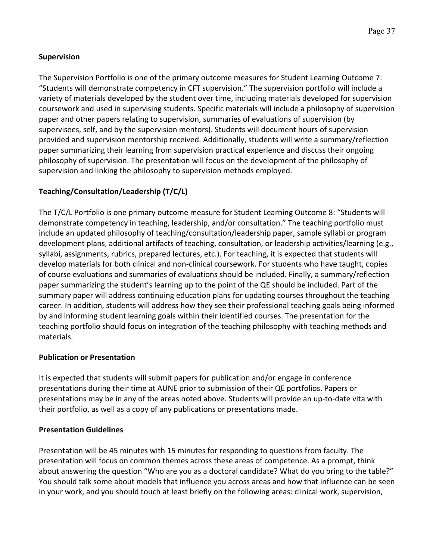## **Supervision**

The Supervision Portfolio is one of the primary outcome measures for Student Learning Outcome 7: "Students will demonstrate competency in CFT supervision." The supervision portfolio will include a variety of materials developed by the student over time, including materials developed for supervision coursework and used in supervising students. Specific materials will include a philosophy of supervision paper and other papers relating to supervision, summaries of evaluations of supervision (by supervisees, self, and by the supervision mentors). Students will document hours of supervision provided and supervision mentorship received. Additionally, students will write a summary/reflection paper summarizing their learning from supervision practical experience and discuss their ongoing philosophy of supervision. The presentation will focus on the development of the philosophy of supervision and linking the philosophy to supervision methods employed.

## **Teaching/Consultation/Leadership (T/C/L)**

The T/C/L Portfolio is one primary outcome measure for Student Learning Outcome 8: "Students will demonstrate competency in teaching, leadership, and/or consultation." The teaching portfolio must include an updated philosophy of teaching/consultation/leadership paper, sample syllabi or program development plans, additional artifacts of teaching, consultation, or leadership activities/learning (e.g., syllabi, assignments, rubrics, prepared lectures, etc.). For teaching, it is expected that students will develop materials for both clinical and non-clinical coursework. For students who have taught, copies of course evaluations and summaries of evaluations should be included. Finally, a summary/reflection paper summarizing the student's learning up to the point of the QE should be included. Part of the summary paper will address continuing education plans for updating courses throughout the teaching career. In addition, students will address how they see their professional teaching goals being informed by and informing student learning goals within their identified courses. The presentation for the teaching portfolio should focus on integration of the teaching philosophy with teaching methods and materials.

## **Publication or Presentation**

It is expected that students will submit papers for publication and/or engage in conference presentations during their time at AUNE prior to submission of their QE portfolios. Papers or presentations may be in any of the areas noted above. Students will provide an up-to-date vita with their portfolio, as well as a copy of any publications or presentations made.

## **Presentation Guidelines**

Presentation will be 45 minutes with 15 minutes for responding to questions from faculty. The presentation will focus on common themes across these areas of competence. As a prompt, think about answering the question "Who are you as a doctoral candidate? What do you bring to the table?" You should talk some about models that influence you across areas and how that influence can be seen in your work, and you should touch at least briefly on the following areas: clinical work, supervision,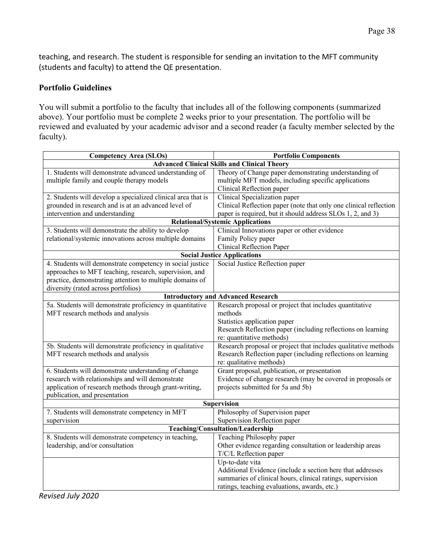teaching, and research. The student is responsible for sending an invitation to the MFT community (students and faculty) to attend the QE presentation.

### **Portfolio Guidelines**

You will submit a portfolio to the faculty that includes all of the following components (summarized above). Your portfolio must be complete 2 weeks prior to your presentation. The portfolio will be reviewed and evaluated by your academic advisor and a second reader (a faculty member selected by the faculty).

| <b>Competency Area (SLOs)</b><br><b>Portfolio Components</b>                                                                                                                                                           |                                                                                                                                                                                                 |  |  |  |  |
|------------------------------------------------------------------------------------------------------------------------------------------------------------------------------------------------------------------------|-------------------------------------------------------------------------------------------------------------------------------------------------------------------------------------------------|--|--|--|--|
|                                                                                                                                                                                                                        | <b>Advanced Clinical Skills and Clinical Theory</b>                                                                                                                                             |  |  |  |  |
| 1. Students will demonstrate advanced understanding of<br>multiple family and couple therapy models                                                                                                                    | Theory of Change paper demonstrating understanding of<br>multiple MFT models, including specific applications<br>Clinical Reflection paper                                                      |  |  |  |  |
| 2. Students will develop a specialized clinical area that is<br>grounded in research and is at an advanced level of<br>intervention and understanding                                                                  | Clinical Specialization paper<br>Clinical Reflection paper (note that only one clinical reflection<br>paper is required, but it should address SLOs 1, 2, and 3)                                |  |  |  |  |
|                                                                                                                                                                                                                        | <b>Relational/Systemic Applications</b>                                                                                                                                                         |  |  |  |  |
| 3. Students will demonstrate the ability to develop<br>relational/systemic innovations across multiple domains                                                                                                         | Clinical Innovations paper or other evidence<br>Family Policy paper<br><b>Clinical Reflection Paper</b>                                                                                         |  |  |  |  |
|                                                                                                                                                                                                                        | <b>Social Justice Applications</b>                                                                                                                                                              |  |  |  |  |
| 4. Students will demonstrate competency in social justice<br>approaches to MFT teaching, research, supervision, and<br>practice, demonstrating attention to multiple domains of<br>diversity (rated across portfolios) | Social Justice Reflection paper                                                                                                                                                                 |  |  |  |  |
|                                                                                                                                                                                                                        | <b>Introductory and Advanced Research</b>                                                                                                                                                       |  |  |  |  |
| 5a. Students will demonstrate proficiency in quantitative<br>MFT research methods and analysis                                                                                                                         | Research proposal or project that includes quantitative<br>methods<br>Statistics application paper<br>Research Reflection paper (including reflections on learning<br>re: quantitative methods) |  |  |  |  |
| 5b. Students will demonstrate proficiency in qualitative<br>MFT research methods and analysis                                                                                                                          | Research proposal or project that includes qualitative methods<br>Research Reflection paper (including reflections on learning<br>re: qualitative methods)                                      |  |  |  |  |
| 6. Students will demonstrate understanding of change<br>research with relationships and will demonstrate<br>application of research methods through grant-writing,<br>publication, and presentation                    | Grant proposal, publication, or presentation<br>Evidence of change research (may be covered in proposals or<br>projects submitted for 5a and 5b)                                                |  |  |  |  |
| <b>Supervision</b>                                                                                                                                                                                                     |                                                                                                                                                                                                 |  |  |  |  |
| 7. Students will demonstrate competency in MFT<br>supervision                                                                                                                                                          | Philosophy of Supervision paper<br>Supervision Reflection paper                                                                                                                                 |  |  |  |  |
| Teaching/Consultation/Leadership                                                                                                                                                                                       |                                                                                                                                                                                                 |  |  |  |  |
| 8. Students will demonstrate competency in teaching,<br>leadership, and/or consultation                                                                                                                                | Teaching Philosophy paper<br>Other evidence regarding consultation or leadership areas<br>T/C/L Reflection paper                                                                                |  |  |  |  |
|                                                                                                                                                                                                                        | Up-to-date vita<br>Additional Evidence (include a section here that addresses<br>summaries of clinical hours, clinical ratings, supervision<br>ratings, teaching evaluations, awards, etc.)     |  |  |  |  |

*Revised July 2020*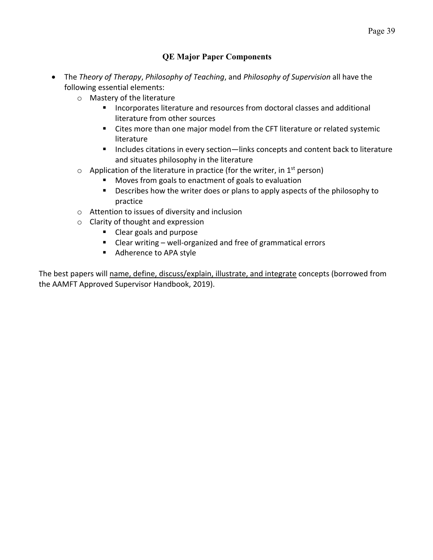## **QE Major Paper Components**

- The *Theory of Therapy*, *Philosophy of Teaching*, and *Philosophy of Supervision* all have the following essential elements:
	- o Mastery of the literature
		- Incorporates literature and resources from doctoral classes and additional literature from other sources
		- Cites more than one major model from the CFT literature or related systemic literature
		- Includes citations in every section—links concepts and content back to literature and situates philosophy in the literature
	- $\circ$  Application of the literature in practice (for the writer, in 1<sup>st</sup> person)
		- Moves from goals to enactment of goals to evaluation
		- Describes how the writer does or plans to apply aspects of the philosophy to practice
	- o Attention to issues of diversity and inclusion
	- o Clarity of thought and expression
		- Clear goals and purpose
		- Clear writing well-organized and free of grammatical errors
		- Adherence to APA style

The best papers will name, define, discuss/explain, illustrate, and integrate concepts (borrowed from the AAMFT Approved Supervisor Handbook, 2019).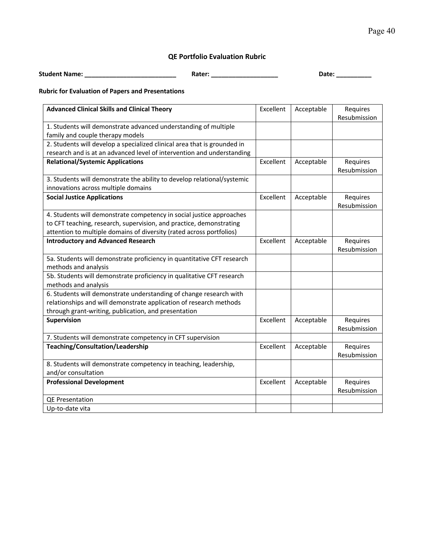## **QE Portfolio Evaluation Rubric**

**Student Name: \_\_\_\_\_\_\_\_\_\_\_\_\_\_\_\_\_\_\_\_\_\_\_\_\_\_ Rater: \_\_\_\_\_\_\_\_\_\_\_\_\_\_\_\_\_\_\_ Date: \_\_\_\_\_\_\_\_\_\_**

## **Rubric for Evaluation of Papers and Presentations**

| <b>Advanced Clinical Skills and Clinical Theory</b>                      | Excellent | Acceptable | Requires<br>Resubmission |
|--------------------------------------------------------------------------|-----------|------------|--------------------------|
|                                                                          |           |            |                          |
| 1. Students will demonstrate advanced understanding of multiple          |           |            |                          |
| family and couple therapy models                                         |           |            |                          |
| 2. Students will develop a specialized clinical area that is grounded in |           |            |                          |
| research and is at an advanced level of intervention and understanding   |           |            |                          |
| <b>Relational/Systemic Applications</b>                                  | Excellent | Acceptable | Requires                 |
|                                                                          |           |            | Resubmission             |
| 3. Students will demonstrate the ability to develop relational/systemic  |           |            |                          |
| innovations across multiple domains                                      |           |            |                          |
| <b>Social Justice Applications</b>                                       | Excellent | Acceptable | Requires                 |
|                                                                          |           |            | Resubmission             |
| 4. Students will demonstrate competency in social justice approaches     |           |            |                          |
| to CFT teaching, research, supervision, and practice, demonstrating      |           |            |                          |
| attention to multiple domains of diversity (rated across portfolios)     |           |            |                          |
| <b>Introductory and Advanced Research</b>                                | Excellent | Acceptable | Requires                 |
|                                                                          |           |            | Resubmission             |
| 5a. Students will demonstrate proficiency in quantitative CFT research   |           |            |                          |
| methods and analysis                                                     |           |            |                          |
| 5b. Students will demonstrate proficiency in qualitative CFT research    |           |            |                          |
| methods and analysis                                                     |           |            |                          |
| 6. Students will demonstrate understanding of change research with       |           |            |                          |
| relationships and will demonstrate application of research methods       |           |            |                          |
| through grant-writing, publication, and presentation                     |           |            |                          |
| Supervision                                                              | Excellent | Acceptable | Requires                 |
|                                                                          |           |            | Resubmission             |
| 7. Students will demonstrate competency in CFT supervision               |           |            |                          |
| Teaching/Consultation/Leadership                                         | Excellent | Acceptable | Requires                 |
|                                                                          |           |            | Resubmission             |
| 8. Students will demonstrate competency in teaching, leadership,         |           |            |                          |
| and/or consultation                                                      |           |            |                          |
| <b>Professional Development</b>                                          | Excellent | Acceptable | Requires                 |
|                                                                          |           |            | Resubmission             |
| QE Presentation                                                          |           |            |                          |
| Up-to-date vita                                                          |           |            |                          |